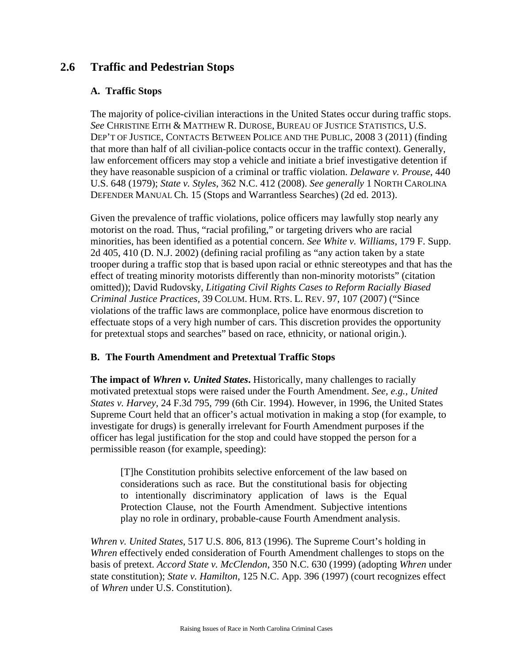# **2.6 Traffic and Pedestrian Stops**

## **A. Traffic Stops**

The majority of police-civilian interactions in the United States occur during traffic stops. *See* CHRISTINE EITH & MATTHEW R. DUROSE, BUREAU OF JUSTICE STATISTICS, U.S. DEP'T OF JUSTICE, CONTACTS BETWEEN POLICE AND THE PUBLIC, 2008 3 (2011) (finding that more than half of all civilian-police contacts occur in the traffic context). Generally, law enforcement officers may stop a vehicle and initiate a brief investigative detention if they have reasonable suspicion of a criminal or traffic violation. *Delaware v. Prouse*, 440 U.S. 648 (1979); *State v. Styles*, 362 N.C. 412 (2008). *See generally* 1 NORTH CAROLINA DEFENDER MANUAL Ch. 15 (Stops and Warrantless Searches) (2d ed. 2013).

Given the prevalence of traffic violations, police officers may lawfully stop nearly any motorist on the road. Thus, "racial profiling," or targeting drivers who are racial minorities, has been identified as a potential concern. *See White v. Williams*, 179 F. Supp. 2d 405, 410 (D. N.J. 2002) (defining racial profiling as "any action taken by a state trooper during a traffic stop that is based upon racial or ethnic stereotypes and that has the effect of treating minority motorists differently than non-minority motorists" (citation omitted)); David Rudovsky, *Litigating Civil Rights Cases to Reform Racially Biased Criminal Justice Practices,* 39 COLUM. HUM. RTS. L. REV. 97, 107 (2007) ("Since violations of the traffic laws are commonplace, police have enormous discretion to effectuate stops of a very high number of cars. This discretion provides the opportunity for pretextual stops and searches" based on race, ethnicity, or national origin.).

## **B. The Fourth Amendment and Pretextual Traffic Stops**

**The impact of** *Whren v. United States***.** Historically, many challenges to racially motivated pretextual stops were raised under the Fourth Amendment. *See, e.g., United States v. Harvey*, 24 F.3d 795, 799 (6th Cir. 1994). However, in 1996, the United States Supreme Court held that an officer's actual motivation in making a stop (for example, to investigate for drugs) is generally irrelevant for Fourth Amendment purposes if the officer has legal justification for the stop and could have stopped the person for a permissible reason (for example, speeding):

[T]he Constitution prohibits selective enforcement of the law based on considerations such as race. But the constitutional basis for objecting to intentionally discriminatory application of laws is the Equal Protection Clause, not the Fourth Amendment. Subjective intentions play no role in ordinary, probable-cause Fourth Amendment analysis.

*Whren v. United States*, 517 U.S. 806, 813 (1996). The Supreme Court's holding in *Whren* effectively ended consideration of Fourth Amendment challenges to stops on the basis of pretext. *Accord State v. McClendon*, 350 N.C. 630 (1999) (adopting *Whren* under state constitution); *State v. Hamilton*, 125 N.C. App. 396 (1997) (court recognizes effect of *Whren* under U.S. Constitution).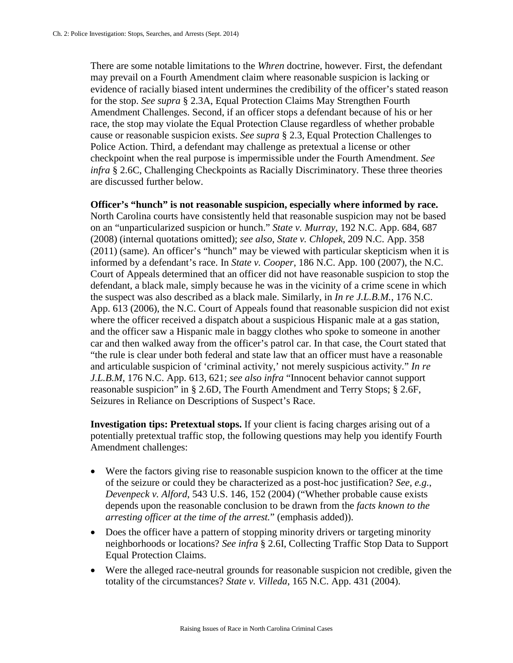There are some notable limitations to the *Whren* doctrine, however. First, the defendant may prevail on a Fourth Amendment claim where reasonable suspicion is lacking or evidence of racially biased intent undermines the credibility of the officer's stated reason for the stop. *See supra* § 2.3A, Equal Protection Claims May Strengthen Fourth Amendment Challenges. Second, if an officer stops a defendant because of his or her race, the stop may violate the Equal Protection Clause regardless of whether probable cause or reasonable suspicion exists. *See supra* § 2.3, Equal Protection Challenges to Police Action. Third, a defendant may challenge as pretextual a license or other checkpoint when the real purpose is impermissible under the Fourth Amendment. *See infra* § 2.6C, Challenging Checkpoints as Racially Discriminatory. These three theories are discussed further below.

**Officer's "hunch" is not reasonable suspicion, especially where informed by race.**  North Carolina courts have consistently held that reasonable suspicion may not be based on an "unparticularized suspicion or hunch." *State v. Murray*, 192 N.C. App. 684, 687 (2008) (internal quotations omitted); *see also, State v. Chlopek*, 209 N.C. App. 358 (2011) (same). An officer's "hunch" may be viewed with particular skepticism when it is informed by a defendant's race. In *State v. Cooper*, 186 N.C. App. 100 (2007), the N.C. Court of Appeals determined that an officer did not have reasonable suspicion to stop the defendant, a black male, simply because he was in the vicinity of a crime scene in which the suspect was also described as a black male. Similarly, in *In re J.L.B.M.*, 176 N.C. App. 613 (2006), the N.C. Court of Appeals found that reasonable suspicion did not exist where the officer received a dispatch about a suspicious Hispanic male at a gas station, and the officer saw a Hispanic male in baggy clothes who spoke to someone in another car and then walked away from the officer's patrol car. In that case, the Court stated that "the rule is clear under both federal and state law that an officer must have a reasonable and articulable suspicion of 'criminal activity,' not merely suspicious activity." *In re J.L.B.M*, 176 N.C. App. 613, 621; *see also infra* "Innocent behavior cannot support reasonable suspicion" in § 2.6D, The Fourth Amendment and Terry Stops; § 2.6F, Seizures in Reliance on Descriptions of Suspect's Race.

**Investigation tips: Pretextual stops.** If your client is facing charges arising out of a potentially pretextual traffic stop, the following questions may help you identify Fourth Amendment challenges:

- Were the factors giving rise to reasonable suspicion known to the officer at the time of the seizure or could they be characterized as a post-hoc justification? *See, e.g.*, *Devenpeck v. Alford*, 543 U.S. 146, 152 (2004) ("Whether probable cause exists depends upon the reasonable conclusion to be drawn from the *facts known to the arresting officer at the time of the arrest.*" (emphasis added)).
- Does the officer have a pattern of stopping minority drivers or targeting minority neighborhoods or locations? *See infra* § 2.6I, Collecting Traffic Stop Data to Support Equal Protection Claims.
- Were the alleged race-neutral grounds for reasonable suspicion not credible, given the totality of the circumstances? *State v. Villeda*, 165 N.C. App. 431 (2004).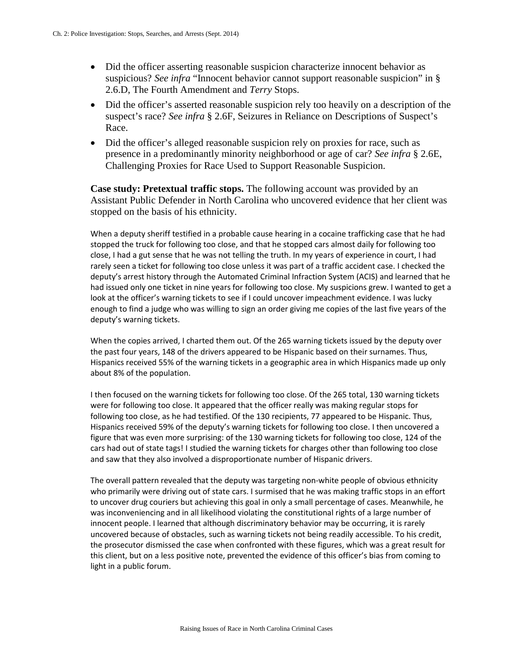- Did the officer asserting reasonable suspicion characterize innocent behavior as suspicious? *See infra* "Innocent behavior cannot support reasonable suspicion" in § 2.6.D, The Fourth Amendment and *Terry* Stops.
- Did the officer's asserted reasonable suspicion rely too heavily on a description of the suspect's race? *See infra* § 2.6F, Seizures in Reliance on Descriptions of Suspect's Race.
- Did the officer's alleged reasonable suspicion rely on proxies for race, such as presence in a predominantly minority neighborhood or age of car? *See infra* § 2.6E, Challenging Proxies for Race Used to Support Reasonable Suspicion.

**Case study: Pretextual traffic stops.** The following account was provided by an Assistant Public Defender in North Carolina who uncovered evidence that her client was stopped on the basis of his ethnicity.

When a deputy sheriff testified in a probable cause hearing in a cocaine trafficking case that he had stopped the truck for following too close, and that he stopped cars almost daily for following too close, I had a gut sense that he was not telling the truth. In my years of experience in court, I had rarely seen a ticket for following too close unless it was part of a traffic accident case. I checked the deputy's arrest history through the Automated Criminal Infraction System (ACIS) and learned that he had issued only one ticket in nine years for following too close. My suspicions grew. I wanted to get a look at the officer's warning tickets to see if I could uncover impeachment evidence. I was lucky enough to find a judge who was willing to sign an order giving me copies of the last five years of the deputy's warning tickets.

When the copies arrived, I charted them out. Of the 265 warning tickets issued by the deputy over the past four years, 148 of the drivers appeared to be Hispanic based on their surnames. Thus, Hispanics received 55% of the warning tickets in a geographic area in which Hispanics made up only about 8% of the population.

I then focused on the warning tickets for following too close. Of the 265 total, 130 warning tickets were for following too close. It appeared that the officer really was making regular stops for following too close, as he had testified. Of the 130 recipients, 77 appeared to be Hispanic. Thus, Hispanics received 59% of the deputy's warning tickets for following too close. I then uncovered a figure that was even more surprising: of the 130 warning tickets for following too close, 124 of the cars had out of state tags! I studied the warning tickets for charges other than following too close and saw that they also involved a disproportionate number of Hispanic drivers.

The overall pattern revealed that the deputy was targeting non-white people of obvious ethnicity who primarily were driving out of state cars. I surmised that he was making traffic stops in an effort to uncover drug couriers but achieving this goal in only a small percentage of cases. Meanwhile, he was inconveniencing and in all likelihood violating the constitutional rights of a large number of innocent people. I learned that although discriminatory behavior may be occurring, it is rarely uncovered because of obstacles, such as warning tickets not being readily accessible. To his credit, the prosecutor dismissed the case when confronted with these figures, which was a great result for this client, but on a less positive note, prevented the evidence of this officer's bias from coming to light in a public forum.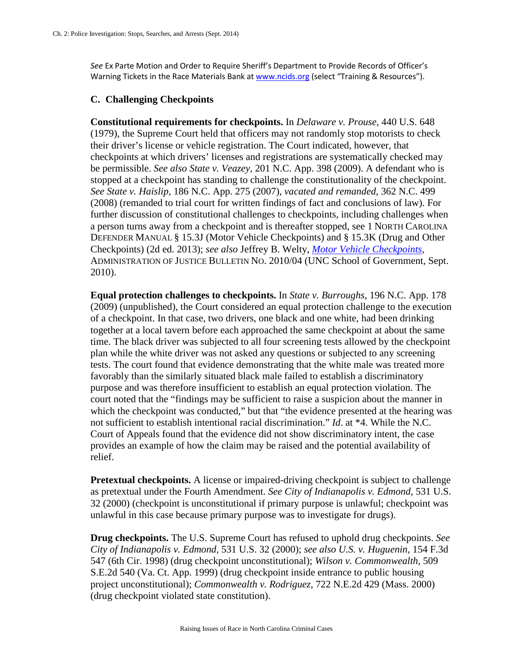*See* Ex Parte Motion and Order to Require Sheriff's Department to Provide Records of Officer's Warning Tickets in the Race Materials Bank a[t www.ncids.org](http://www.ncids.org/) (select "Training & Resources").

## **C. Challenging Checkpoints**

**Constitutional requirements for checkpoints.** In *Delaware v. Prouse,* 440 U.S. 648 (1979), the Supreme Court held that officers may not randomly stop motorists to check their driver's license or vehicle registration. The Court indicated, however, that checkpoints at which drivers' licenses and registrations are systematically checked may be permissible. *See also State v. Veazey*, 201 N.C. App. 398 (2009). A defendant who is stopped at a checkpoint has standing to challenge the constitutionality of the checkpoint. *See State v. Haislip,* 186 N.C. App. 275 (2007), *vacated and remanded,* 362 N.C. 499 (2008) (remanded to trial court for written findings of fact and conclusions of law). For further discussion of constitutional challenges to checkpoints, including challenges when a person turns away from a checkpoint and is thereafter stopped, see 1 NORTH CAROLINA DEFENDER MANUAL § 15.3J (Motor Vehicle Checkpoints) and § 15.3K (Drug and Other Checkpoints) (2d ed. 2013); *see also* Jeffrey B. Welty, *[Motor Vehicle Checkpoints](http://sogpubs.unc.edu/electronicversions/pdfs/aojb1004.pdf?)*, ADMINISTRATION OF JUSTICE BULLETIN NO. 2010/04 (UNC School of Government, Sept. 2010).

**Equal protection challenges to checkpoints.** In *State v. Burroughs*, 196 N.C. App. 178 (2009) (unpublished), the Court considered an equal protection challenge to the execution of a checkpoint. In that case, two drivers, one black and one white, had been drinking together at a local tavern before each approached the same checkpoint at about the same time. The black driver was subjected to all four screening tests allowed by the checkpoint plan while the white driver was not asked any questions or subjected to any screening tests. The court found that evidence demonstrating that the white male was treated more favorably than the similarly situated black male failed to establish a discriminatory purpose and was therefore insufficient to establish an equal protection violation. The court noted that the "findings may be sufficient to raise a suspicion about the manner in which the checkpoint was conducted," but that "the evidence presented at the hearing was not sufficient to establish intentional racial discrimination." *Id*. at \*4. While the N.C. Court of Appeals found that the evidence did not show discriminatory intent, the case provides an example of how the claim may be raised and the potential availability of relief.

**Pretextual checkpoints.** A license or impaired-driving checkpoint is subject to challenge as pretextual under the Fourth Amendment. *See City of Indianapolis v. Edmond,* 531 U.S. 32 (2000) (checkpoint is unconstitutional if primary purpose is unlawful; checkpoint was unlawful in this case because primary purpose was to investigate for drugs).

**Drug checkpoints.** The U.S. Supreme Court has refused to uphold drug checkpoints. *See City of Indianapolis v. Edmond,* 531 U.S. 32 (2000); *see also U.S. v. Huguenin,* 154 F.3d 547 (6th Cir. 1998) (drug checkpoint unconstitutional); *Wilson v. Commonwealth,* 509 S.E.2d 540 (Va. Ct. App. 1999) (drug checkpoint inside entrance to public housing project unconstitutional); *Commonwealth v. Rodriguez,* 722 N.E.2d 429 (Mass. 2000) (drug checkpoint violated state constitution).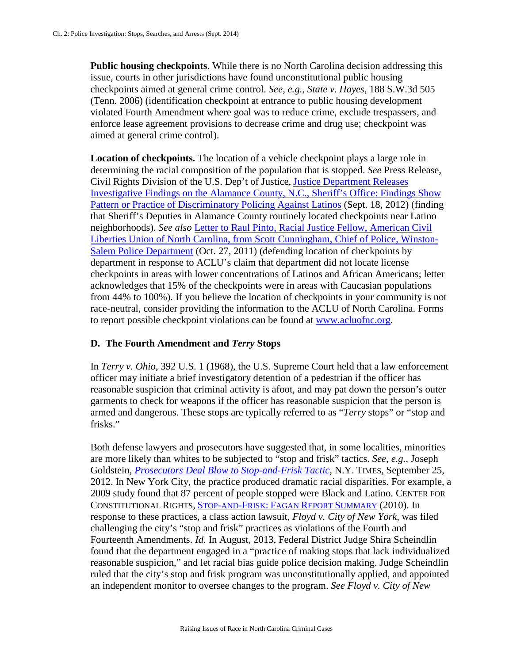**Public housing checkpoints**. While there is no North Carolina decision addressing this issue, courts in other jurisdictions have found unconstitutional public housing checkpoints aimed at general crime control. *See, e.g., State v. Hayes,* 188 S.W.3d 505 (Tenn. 2006) (identification checkpoint at entrance to public housing development violated Fourth Amendment where goal was to reduce crime, exclude trespassers, and enforce lease agreement provisions to decrease crime and drug use; checkpoint was aimed at general crime control).

**Location of checkpoints.** The location of a vehicle checkpoint plays a large role in determining the racial composition of the population that is stopped. *See* Press Release, Civil Rights Division of the U.S. Dep't of Justice, [Justice Department Releases](http://www.justice.gov/opa/pr/2012/September/12-crt-1125.html)  [Investigative Findings on the Alamance County, N.C., Sheriff's Office: Findings Show](http://www.justice.gov/opa/pr/2012/September/12-crt-1125.html)  [Pattern or Practice of Discriminatory Policing Against Latinos](http://www.justice.gov/opa/pr/2012/September/12-crt-1125.html) (Sept. 18, 2012) (finding that Sheriff's Deputies in Alamance County routinely located checkpoints near Latino neighborhoods). *See also* [Letter to Raul Pinto, Racial Justice Fellow, American Civil](http://www.cityofws.org/Assets/CityOfWS/Documents/Police/aclu_2.pdf)  [Liberties Union of North Carolina, from Scott Cunningham, Chief of Police, Winston-](http://www.cityofws.org/Assets/CityOfWS/Documents/Police/aclu_2.pdf)[Salem Police Department](http://www.cityofws.org/Assets/CityOfWS/Documents/Police/aclu_2.pdf) (Oct. 27, 2011) (defending location of checkpoints by department in response to ACLU's claim that department did not locate license checkpoints in areas with lower concentrations of Latinos and African Americans; letter acknowledges that 15% of the checkpoints were in areas with Caucasian populations from 44% to 100%). If you believe the location of checkpoints in your community is not race-neutral, consider providing the information to the ACLU of North Carolina. Forms to report possible checkpoint violations can be found at [www.acluofnc.org.](http://www.acluofnc.org/)

#### **D. The Fourth Amendment and** *Terry* **Stops**

In *Terry v. Ohio*, 392 U.S. 1 (1968), the U.S. Supreme Court held that a law enforcement officer may initiate a brief investigatory detention of a pedestrian if the officer has reasonable suspicion that criminal activity is afoot, and may pat down the person's outer garments to check for weapons if the officer has reasonable suspicion that the person is armed and dangerous. These stops are typically referred to as "*Terry* stops" or "stop and frisks."

Both defense lawyers and prosecutors have suggested that, in some localities, minorities are more likely than whites to be subjected to "stop and frisk" tactics. *See, e.g.,* Joseph Goldstein, *[Prosecutors Deal Blow to Stop-and-Frisk Tactic](http://www.nytimes.com/2012/09/26/nyregion/in-the-bronx-resistance-to-prosecuting-stop-and-frisk-arrests.html?pagewanted=2&_r=2&hp)*, N.Y. TIMES, September 25, 2012. In New York City, the practice produced dramatic racial disparities. For example, a 2009 study found that 87 percent of people stopped were Black and Latino. CENTER FOR CONSTITUTIONAL RIGHTS, STOP-AND-FRISK: [FAGAN REPORT SUMMARY](http://ccrjustice.org/files/Fagan%20Report%20Summary%20Final.pdf) (2010). In response to these practices, a class action lawsuit, *Floyd v. City of New York*, was filed challenging the city's "stop and frisk" practices as violations of the Fourth and Fourteenth Amendments. *Id.* In August, 2013, Federal District Judge Shira Scheindlin found that the department engaged in a "practice of making stops that lack individualized reasonable suspicion," and let racial bias guide police decision making. Judge Scheindlin ruled that the city's stop and frisk program was unconstitutionally applied, and appointed an independent monitor to oversee changes to the program. *See Floyd v. City of New*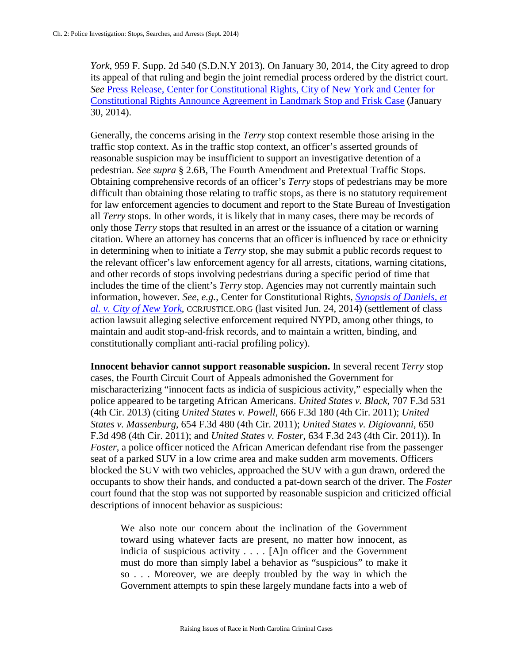*York*, 959 F. Supp. 2d 540 (S.D.N.Y 2013)*.* On January 30, 2014, the City agreed to drop its appeal of that ruling and begin the joint remedial process ordered by the district court. *See* [Press Release, Center for Constitutional Rights,](http://www.ccrjustice.org/newsroom/press-releases/city-of-new-york-and-center-constitutional-rights-announce-agreement-landmark-stop-and-frisk-case) City of New York and Center for [Constitutional Rights Announce Agreement in Landmark Stop and Frisk Case](http://www.ccrjustice.org/newsroom/press-releases/city-of-new-york-and-center-constitutional-rights-announce-agreement-landmark-stop-and-frisk-case) (January 30, 2014).

Generally, the concerns arising in the *Terry* stop context resemble those arising in the traffic stop context. As in the traffic stop context, an officer's asserted grounds of reasonable suspicion may be insufficient to support an investigative detention of a pedestrian. *See supra* § 2.6B, The Fourth Amendment and Pretextual Traffic Stops. Obtaining comprehensive records of an officer's *Terry* stops of pedestrians may be more difficult than obtaining those relating to traffic stops, as there is no statutory requirement for law enforcement agencies to document and report to the State Bureau of Investigation all *Terry* stops. In other words, it is likely that in many cases, there may be records of only those *Terry* stops that resulted in an arrest or the issuance of a citation or warning citation. Where an attorney has concerns that an officer is influenced by race or ethnicity in determining when to initiate a *Terry* stop, she may submit a public records request to the relevant officer's law enforcement agency for all arrests, citations, warning citations, and other records of stops involving pedestrians during a specific period of time that includes the time of the client's *Terry* stop. Agencies may not currently maintain such information, however. *See, e.g.*, Center for Constitutional Rights, *Synopsis of [Daniels, et](http://ccrjustice.org/ourcases/past-cases/daniels,-et-al.-v.-city-new-york)  [al. v. City of New York](http://ccrjustice.org/ourcases/past-cases/daniels,-et-al.-v.-city-new-york)*, CCRJUSTICE.ORG (last visited Jun. 24, 2014) (settlement of class action lawsuit alleging selective enforcement required NYPD, among other things, to maintain and audit stop-and-frisk records, and to maintain a written, binding, and constitutionally compliant anti-racial profiling policy).

**Innocent behavior cannot support reasonable suspicion.** In several recent *Terry* stop cases, the Fourth Circuit Court of Appeals admonished the Government for mischaracterizing "innocent facts as indicia of suspicious activity," especially when the police appeared to be targeting African Americans. *United States v. Black*, 707 F.3d 531 (4th Cir. 2013) (citing *United States v. Powell*, 666 F.3d 180 (4th Cir. 2011); *United States v. Massenburg*, 654 F.3d 480 (4th Cir. 2011); *United States v. Digiovanni*, 650 F.3d 498 (4th Cir. 2011); and *United States v. Foster*, 634 F.3d 243 (4th Cir. 2011)). In *Foster*, a police officer noticed the African American defendant rise from the passenger seat of a parked SUV in a low crime area and make sudden arm movements. Officers blocked the SUV with two vehicles, approached the SUV with a gun drawn, ordered the occupants to show their hands, and conducted a pat-down search of the driver. The *Foster* court found that the stop was not supported by reasonable suspicion and criticized official descriptions of innocent behavior as suspicious:

We also note our concern about the inclination of the Government toward using whatever facts are present, no matter how innocent, as indicia of suspicious activity . . . . [A]n officer and the Government must do more than simply label a behavior as "suspicious" to make it so . . . Moreover, we are deeply troubled by the way in which the Government attempts to spin these largely mundane facts into a web of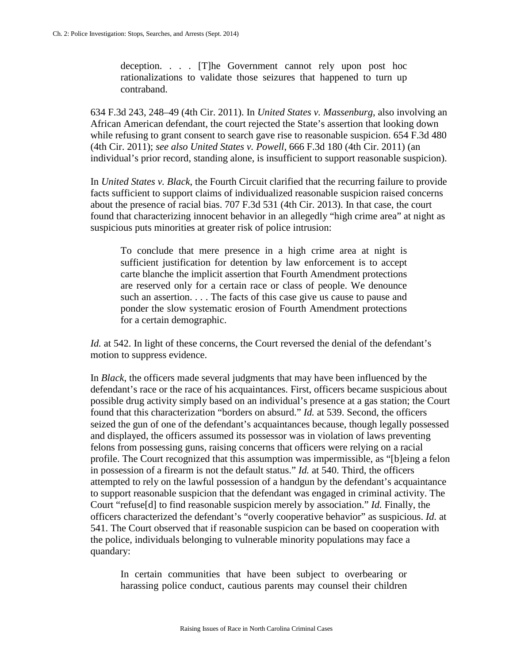deception. . . . [T]he Government cannot rely upon post hoc rationalizations to validate those seizures that happened to turn up contraband.

634 F.3d 243, 248–49 (4th Cir. 2011). In *United States v. Massenburg*, also involving an African American defendant, the court rejected the State's assertion that looking down while refusing to grant consent to search gave rise to reasonable suspicion. 654 F.3d 480 (4th Cir. 2011); *see also United States v. Powell*, 666 F.3d 180 (4th Cir. 2011) (an individual's prior record, standing alone, is insufficient to support reasonable suspicion).

In *United States v. Black*, the Fourth Circuit clarified that the recurring failure to provide facts sufficient to support claims of individualized reasonable suspicion raised concerns about the presence of racial bias. 707 F.3d 531 (4th Cir. 2013). In that case, the court found that characterizing innocent behavior in an allegedly "high crime area" at night as suspicious puts minorities at greater risk of police intrusion:

To conclude that mere presence in a high crime area at night is sufficient justification for detention by law enforcement is to accept carte blanche the implicit assertion that Fourth Amendment protections are reserved only for a certain race or class of people. We denounce such an assertion. . . . The facts of this case give us cause to pause and ponder the slow systematic erosion of Fourth Amendment protections for a certain demographic.

*Id.* at 542. In light of these concerns, the Court reversed the denial of the defendant's motion to suppress evidence.

In *Black*, the officers made several judgments that may have been influenced by the defendant's race or the race of his acquaintances. First, officers became suspicious about possible drug activity simply based on an individual's presence at a gas station; the Court found that this characterization "borders on absurd." *Id.* at 539. Second, the officers seized the gun of one of the defendant's acquaintances because, though legally possessed and displayed, the officers assumed its possessor was in violation of laws preventing felons from possessing guns, raising concerns that officers were relying on a racial profile. The Court recognized that this assumption was impermissible, as "[b]eing a felon in possession of a firearm is not the default status." *Id.* at 540. Third, the officers attempted to rely on the lawful possession of a handgun by the defendant's acquaintance to support reasonable suspicion that the defendant was engaged in criminal activity. The Court "refuse[d] to find reasonable suspicion merely by association." *Id.* Finally, the officers characterized the defendant's "overly cooperative behavior" as suspicious. *Id.* at 541. The Court observed that if reasonable suspicion can be based on cooperation with the police, individuals belonging to vulnerable minority populations may face a quandary:

In certain communities that have been subject to overbearing or harassing police conduct, cautious parents may counsel their children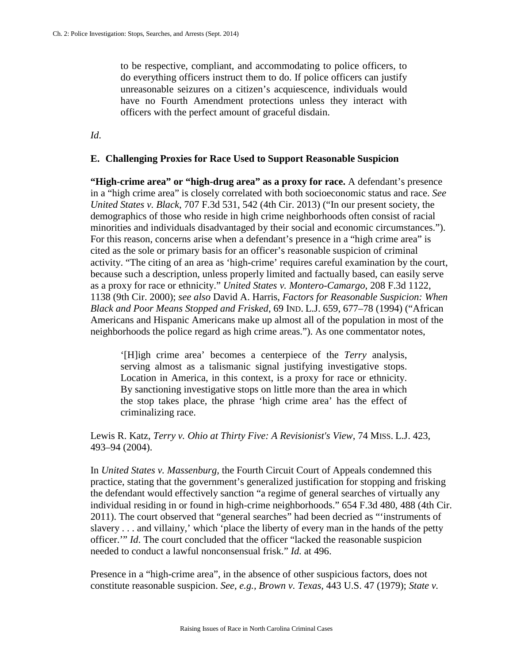to be respective, compliant, and accommodating to police officers, to do everything officers instruct them to do. If police officers can justify unreasonable seizures on a citizen's acquiescence, individuals would have no Fourth Amendment protections unless they interact with officers with the perfect amount of graceful disdain.

*Id*.

### **E. Challenging Proxies for Race Used to Support Reasonable Suspicion**

**"High-crime area" or "high-drug area" as a proxy for race.** A defendant's presence in a "high crime area" is closely correlated with both socioeconomic status and race. *See United States v. Black*, 707 F.3d 531, 542 (4th Cir. 2013) ("In our present society, the demographics of those who reside in high crime neighborhoods often consist of racial minorities and individuals disadvantaged by their social and economic circumstances."). For this reason, concerns arise when a defendant's presence in a "high crime area" is cited as the sole or primary basis for an officer's reasonable suspicion of criminal activity. "The citing of an area as 'high-crime' requires careful examination by the court, because such a description, unless properly limited and factually based, can easily serve as a proxy for race or ethnicity." *United States v. Montero-Camargo*, 208 F.3d 1122, 1138 (9th Cir. 2000); *see also* David A. Harris, *Factors for Reasonable Suspicion: When Black and Poor Means Stopped and Frisked*, 69 IND. L.J. 659, 677–78 (1994) ("African Americans and Hispanic Americans make up almost all of the population in most of the neighborhoods the police regard as high crime areas."). As one commentator notes,

'[H]igh crime area' becomes a centerpiece of the *Terry* analysis, serving almost as a talismanic signal justifying investigative stops. Location in America, in this context, is a proxy for race or ethnicity. By sanctioning investigative stops on little more than the area in which the stop takes place, the phrase 'high crime area' has the effect of criminalizing race.

Lewis R. Katz, *Terry v. Ohio at Thirty Five: A Revisionist's View*, 74 MISS. L.J. 423, 493–94 (2004).

In *United States v. Massenburg,* the Fourth Circuit Court of Appeals condemned this practice, stating that the government's generalized justification for stopping and frisking the defendant would effectively sanction "a regime of general searches of virtually any individual residing in or found in high-crime neighborhoods." 654 F.3d 480, 488 (4th Cir. 2011). The court observed that "general searches" had been decried as "'instruments of slavery . . . and villainy,' which 'place the liberty of every man in the hands of the petty officer.'" *Id*. The court concluded that the officer "lacked the reasonable suspicion needed to conduct a lawful nonconsensual frisk." *Id.* at 496.

Presence in a "high-crime area", in the absence of other suspicious factors, does not constitute reasonable suspicion. *See, e.g., Brown v. Texas,* 443 U.S. 47 (1979); *State v.*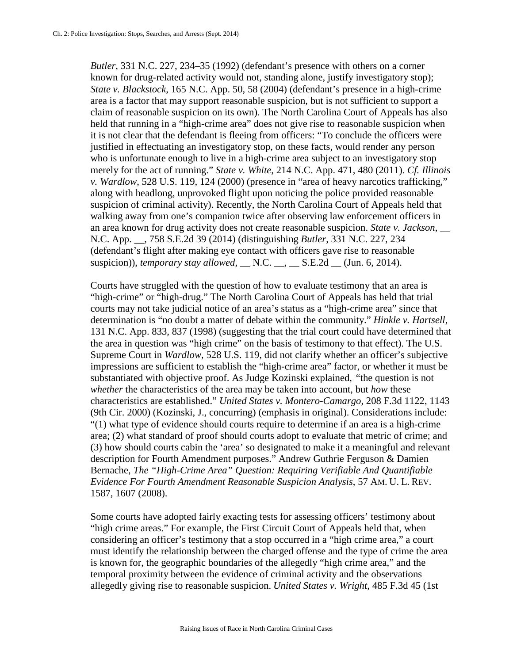*Butler*, 331 N.C. 227, 234–35 (1992) (defendant's presence with others on a corner known for drug-related activity would not, standing alone, justify investigatory stop); *State v. Blackstock*, 165 N.C. App. 50, 58 (2004) (defendant's presence in a high-crime area is a factor that may support reasonable suspicion, but is not sufficient to support a claim of reasonable suspicion on its own). The North Carolina Court of Appeals has also held that running in a "high-crime area" does not give rise to reasonable suspicion when it is not clear that the defendant is fleeing from officers: "To conclude the officers were justified in effectuating an investigatory stop, on these facts, would render any person who is unfortunate enough to live in a high-crime area subject to an investigatory stop merely for the act of running." *State v. White*, 214 N.C. App. 471, 480 (2011). *Cf. Illinois v. Wardlow*, 528 U.S. 119, 124 (2000) (presence in "area of heavy narcotics trafficking," along with headlong, unprovoked flight upon noticing the police provided reasonable suspicion of criminal activity). Recently, the North Carolina Court of Appeals held that walking away from one's companion twice after observing law enforcement officers in an area known for drug activity does not create reasonable suspicion. *State v. Jackson*, \_\_ N.C. App. \_\_, 758 S.E.2d 39 (2014) (distinguishing *Butler*, 331 N.C. 227, 234 (defendant's flight after making eye contact with officers gave rise to reasonable suspicion)), *temporary stay allowed*,  $\_\$  N.C.  $\_\_\_\_\_\_$  S.E.2d  $\_\_\_$  (Jun. 6, 2014).

Courts have struggled with the question of how to evaluate testimony that an area is "high-crime" or "high-drug." The North Carolina Court of Appeals has held that trial courts may not take judicial notice of an area's status as a "high-crime area" since that determination is "no doubt a matter of debate within the community." *Hinkle v. Hartsell*, 131 N.C. App. 833, 837 (1998) (suggesting that the trial court could have determined that the area in question was "high crime" on the basis of testimony to that effect). The U.S. Supreme Court in *Wardlow*, 528 U.S. 119, did not clarify whether an officer's subjective impressions are sufficient to establish the "high-crime area" factor, or whether it must be substantiated with objective proof. As Judge Kozinski explained, "the question is not *whether* the characteristics of the area may be taken into account, but *how* these characteristics are established." *United States v. Montero-Camargo*, 208 F.3d 1122, 1143 (9th Cir. 2000) (Kozinski, J., concurring) (emphasis in original). Considerations include: "(1) what type of evidence should courts require to determine if an area is a high-crime area; (2) what standard of proof should courts adopt to evaluate that metric of crime; and (3) how should courts cabin the 'area' so designated to make it a meaningful and relevant description for Fourth Amendment purposes." Andrew Guthrie Ferguson & Damien Bernache, *The "High-Crime Area" Question: Requiring Verifiable And Quantifiable Evidence For Fourth Amendment Reasonable Suspicion Analysis*, 57 AM. U. L. REV. 1587, 1607 (2008).

Some courts have adopted fairly exacting tests for assessing officers' testimony about "high crime areas." For example, the First Circuit Court of Appeals held that, when considering an officer's testimony that a stop occurred in a "high crime area," a court must identify the relationship between the charged offense and the type of crime the area is known for, the geographic boundaries of the allegedly "high crime area," and the temporal proximity between the evidence of criminal activity and the observations allegedly giving rise to reasonable suspicion. *United States v. Wright*, 485 F.3d 45 (1st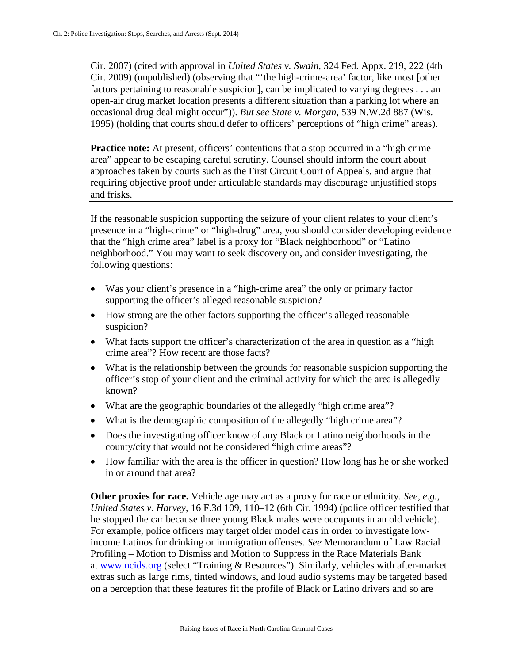Cir. 2007) (cited with approval in *United States v. Swain*, 324 Fed. Appx. 219, 222 (4th Cir. 2009) (unpublished) (observing that "'the high-crime-area' factor, like most [other factors pertaining to reasonable suspicion], can be implicated to varying degrees . . . an open-air drug market location presents a different situation than a parking lot where an occasional drug deal might occur")). *But see State v. Morgan*, 539 N.W.2d 887 (Wis. 1995) (holding that courts should defer to officers' perceptions of "high crime" areas).

**Practice note:** At present, officers' contentions that a stop occurred in a "high crime" area" appear to be escaping careful scrutiny. Counsel should inform the court about approaches taken by courts such as the First Circuit Court of Appeals, and argue that requiring objective proof under articulable standards may discourage unjustified stops and frisks.

If the reasonable suspicion supporting the seizure of your client relates to your client's presence in a "high-crime" or "high-drug" area, you should consider developing evidence that the "high crime area" label is a proxy for "Black neighborhood" or "Latino neighborhood." You may want to seek discovery on, and consider investigating, the following questions:

- Was your client's presence in a "high-crime area" the only or primary factor supporting the officer's alleged reasonable suspicion?
- How strong are the other factors supporting the officer's alleged reasonable suspicion?
- What facts support the officer's characterization of the area in question as a "high" crime area"? How recent are those facts?
- What is the relationship between the grounds for reasonable suspicion supporting the officer's stop of your client and the criminal activity for which the area is allegedly known?
- What are the geographic boundaries of the allegedly "high crime area"?
- What is the demographic composition of the allegedly "high crime area"?
- Does the investigating officer know of any Black or Latino neighborhoods in the county/city that would not be considered "high crime areas"?
- How familiar with the area is the officer in question? How long has he or she worked in or around that area?

**Other proxies for race.** Vehicle age may act as a proxy for race or ethnicity. *See, e.g.*, *United States v. Harvey*, 16 F.3d 109, 110–12 (6th Cir. 1994) (police officer testified that he stopped the car because three young Black males were occupants in an old vehicle). For example, police officers may target older model cars in order to investigate lowincome Latinos for drinking or immigration offenses. *See* Memorandum of Law Racial Profiling – Motion to Dismiss and Motion to Suppress in the Race Materials Bank at [www.ncids.org](http://www.ncids.org/) (select "Training & Resources"). Similarly, vehicles with after-market extras such as large rims, tinted windows, and loud audio systems may be targeted based on a perception that these features fit the profile of Black or Latino drivers and so are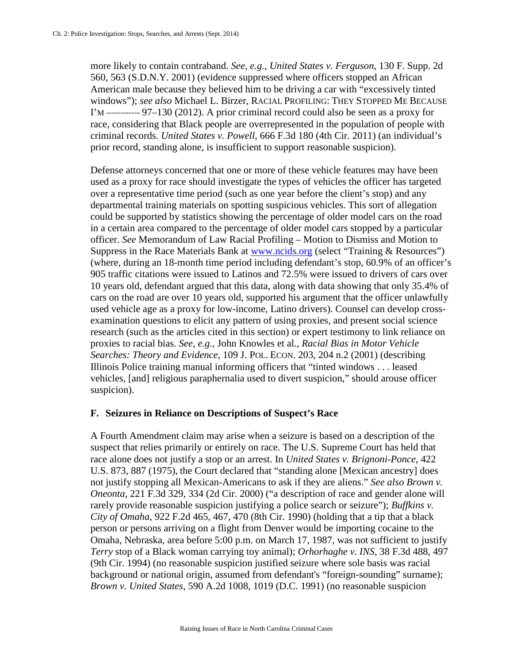more likely to contain contraband. *See, e.g.*, *United States v. Ferguson*, 130 F. Supp. 2d 560, 563 (S.D.N.Y. 2001) (evidence suppressed where officers stopped an African American male because they believed him to be driving a car with "excessively tinted windows"); *see also* Michael L. Birzer, RACIAL PROFILING: THEY STOPPED ME BECAUSE I'M ------------ 97–130 (2012). A prior criminal record could also be seen as a proxy for race, considering that Black people are overrepresented in the population of people with criminal records. *United States v. Powell*, 666 F.3d 180 (4th Cir. 2011) (an individual's prior record, standing alone, is insufficient to support reasonable suspicion).

Defense attorneys concerned that one or more of these vehicle features may have been used as a proxy for race should investigate the types of vehicles the officer has targeted over a representative time period (such as one year before the client's stop) and any departmental training materials on spotting suspicious vehicles. This sort of allegation could be supported by statistics showing the percentage of older model cars on the road in a certain area compared to the percentage of older model cars stopped by a particular officer. *See* Memorandum of Law Racial Profiling – Motion to Dismiss and Motion to Suppress in the Race Materials Bank at [www.ncids.org](http://www.ncids.org/) (select "Training & Resources") (where, during an 18-month time period including defendant's stop, 60.9% of an officer's 905 traffic citations were issued to Latinos and 72.5% were issued to drivers of cars over 10 years old, defendant argued that this data, along with data showing that only 35.4% of cars on the road are over 10 years old, supported his argument that the officer unlawfully used vehicle age as a proxy for low-income, Latino drivers). Counsel can develop crossexamination questions to elicit any pattern of using proxies, and present social science research (such as the articles cited in this section) or expert testimony to link reliance on proxies to racial bias. *See, e.g.,* John Knowles et al., *Racial Bias in Motor Vehicle Searches: Theory and Evidence*, 109 J. POL. ECON. 203, 204 n.2 (2001) (describing Illinois Police training manual informing officers that "tinted windows . . . leased vehicles, [and] religious paraphernalia used to divert suspicion," should arouse officer suspicion).

## **F. Seizures in Reliance on Descriptions of Suspect's Race**

A Fourth Amendment claim may arise when a seizure is based on a description of the suspect that relies primarily or entirely on race. The U.S. Supreme Court has held that race alone does not justify a stop or an arrest. In *United States v. Brignoni-Ponce*, 422 U.S. 873, 887 (1975), the Court declared that "standing alone [Mexican ancestry] does not justify stopping all Mexican-Americans to ask if they are aliens." *See also Brown v. Oneonta*, 221 F.3d 329, 334 (2d Cir. 2000) ("a description of race and gender alone will rarely provide reasonable suspicion justifying a police search or seizure"); *Buffkins v. City of Omaha*, 922 F.2d 465, 467, 470 (8th Cir. 1990) (holding that a tip that a black person or persons arriving on a flight from Denver would be importing cocaine to the Omaha, Nebraska, area before 5:00 p.m. on March 17, 1987, was not sufficient to justify *Terry* stop of a Black woman carrying toy animal); *Orhorhaghe v. INS*, 38 F.3d 488, 497 (9th Cir. 1994) (no reasonable suspicion justified seizure where sole basis was racial background or national origin, assumed from defendant's "foreign-sounding" surname); *Brown v. United States*, 590 A.2d 1008, 1019 (D.C. 1991) (no reasonable suspicion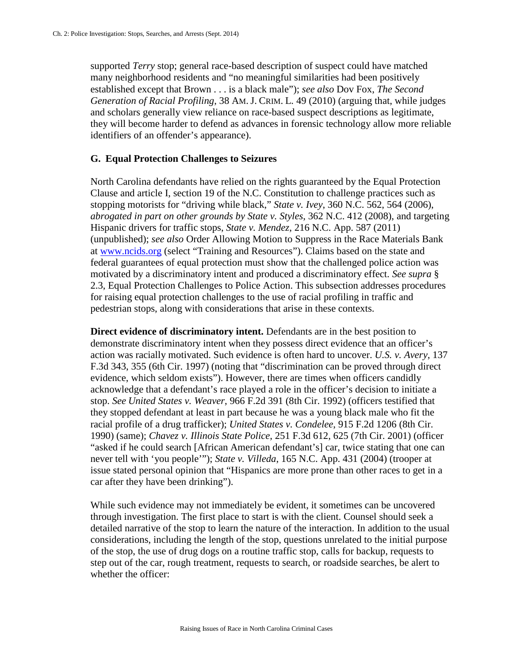supported *Terry* stop; general race-based description of suspect could have matched many neighborhood residents and "no meaningful similarities had been positively established except that Brown . . . is a black male"); *see also* Dov Fox, *The Second Generation of Racial Profiling*, 38 AM.J. CRIM. L. 49 (2010) (arguing that, while judges and scholars generally view reliance on race-based suspect descriptions as legitimate, they will become harder to defend as advances in forensic technology allow more reliable identifiers of an offender's appearance).

### **G. Equal Protection Challenges to Seizures**

North Carolina defendants have relied on the rights guaranteed by the Equal Protection Clause and article I, section 19 of the N.C. Constitution to challenge practices such as stopping motorists for "driving while black," *State v. Ivey*, 360 N.C. 562, 564 (2006), *abrogated in part on other grounds by State v. Styles*, 362 N.C. 412 (2008), and targeting Hispanic drivers for traffic stops, *State v. Mendez*, 216 N.C. App. 587 (2011) (unpublished); *see also* Order Allowing Motion to Suppress in the Race Materials Bank at [www.ncids.org](http://www.ncids.org/) (select "Training and Resources"). Claims based on the state and federal guarantees of equal protection must show that the challenged police action was motivated by a discriminatory intent and produced a discriminatory effect. *See supra* § 2.3, Equal Protection Challenges to Police Action. This subsection addresses procedures for raising equal protection challenges to the use of racial profiling in traffic and pedestrian stops, along with considerations that arise in these contexts.

**Direct evidence of discriminatory intent.** Defendants are in the best position to demonstrate discriminatory intent when they possess direct evidence that an officer's action was racially motivated. Such evidence is often hard to uncover. *U.S. v. Avery*, 137 F.3d 343, 355 (6th Cir. 1997) (noting that "discrimination can be proved through direct evidence, which seldom exists"). However, there are times when officers candidly acknowledge that a defendant's race played a role in the officer's decision to initiate a stop. *See United States v. Weaver*, 966 F.2d 391 (8th Cir. 1992) (officers testified that they stopped defendant at least in part because he was a young black male who fit the racial profile of a drug trafficker); *United States v. Condelee*, 915 F.2d 1206 (8th Cir. 1990) (same); *Chavez v. Illinois State Police*, 251 F.3d 612, 625 (7th Cir. 2001) (officer "asked if he could search [African American defendant's] car, twice stating that one can never tell with 'you people'"); *State v. Villeda*, 165 N.C. App. 431 (2004) (trooper at issue stated personal opinion that "Hispanics are more prone than other races to get in a car after they have been drinking").

While such evidence may not immediately be evident, it sometimes can be uncovered through investigation. The first place to start is with the client. Counsel should seek a detailed narrative of the stop to learn the nature of the interaction. In addition to the usual considerations, including the length of the stop, questions unrelated to the initial purpose of the stop, the use of drug dogs on a routine traffic stop, calls for backup, requests to step out of the car, rough treatment, requests to search, or roadside searches, be alert to whether the officer: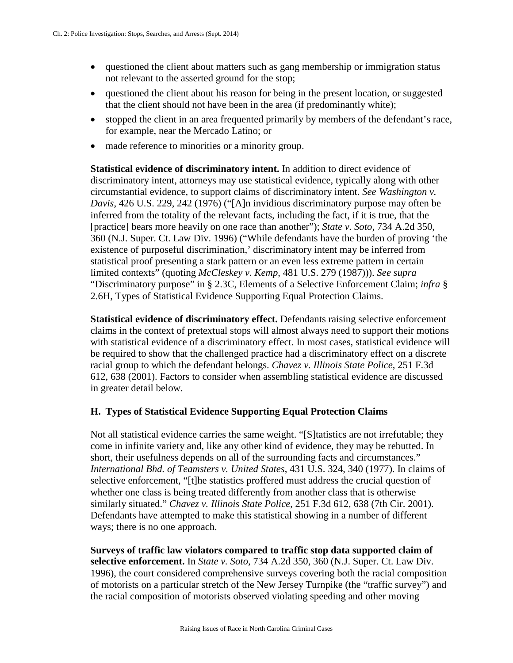- questioned the client about matters such as gang membership or immigration status not relevant to the asserted ground for the stop;
- questioned the client about his reason for being in the present location, or suggested that the client should not have been in the area (if predominantly white);
- stopped the client in an area frequented primarily by members of the defendant's race, for example, near the Mercado Latino; or
- made reference to minorities or a minority group.

**Statistical evidence of discriminatory intent.** In addition to direct evidence of discriminatory intent, attorneys may use statistical evidence, typically along with other circumstantial evidence, to support claims of discriminatory intent. *See Washington v. Davis*, 426 U.S. 229, 242 (1976) ("[A]n invidious discriminatory purpose may often be inferred from the totality of the relevant facts, including the fact, if it is true, that the [practice] bears more heavily on one race than another"); *State v. Soto*, 734 A.2d 350, 360 (N.J. Super. Ct. Law Div. 1996) ("While defendants have the burden of proving 'the existence of purposeful discrimination,' discriminatory intent may be inferred from statistical proof presenting a stark pattern or an even less extreme pattern in certain limited contexts" (quoting *McCleskey v. Kemp*, 481 U.S. 279 (1987))). *See supra*  "Discriminatory purpose" in § 2.3C, Elements of a Selective Enforcement Claim; *infra* § 2.6H, Types of Statistical Evidence Supporting Equal Protection Claims.

**Statistical evidence of discriminatory effect.** Defendants raising selective enforcement claims in the context of pretextual stops will almost always need to support their motions with statistical evidence of a discriminatory effect. In most cases, statistical evidence will be required to show that the challenged practice had a discriminatory effect on a discrete racial group to which the defendant belongs. *Chavez v. Illinois State Police*, 251 F.3d 612, 638 (2001). Factors to consider when assembling statistical evidence are discussed in greater detail below.

# **H. Types of Statistical Evidence Supporting Equal Protection Claims**

Not all statistical evidence carries the same weight. "[S]tatistics are not irrefutable; they come in infinite variety and, like any other kind of evidence, they may be rebutted. In short, their usefulness depends on all of the surrounding facts and circumstances." *International Bhd. of Teamsters v. United States*, 431 U.S. 324, 340 (1977). In claims of selective enforcement, "[t]he statistics proffered must address the crucial question of whether one class is being treated differently from another class that is otherwise similarly situated." *Chavez v. Illinois State Police*, 251 F.3d 612, 638 (7th Cir. 2001). Defendants have attempted to make this statistical showing in a number of different ways; there is no one approach.

**Surveys of traffic law violators compared to traffic stop data supported claim of selective enforcement.** In *State v. Soto*, 734 A.2d 350, 360 (N.J. Super. Ct. Law Div. 1996), the court considered comprehensive surveys covering both the racial composition of motorists on a particular stretch of the New Jersey Turnpike (the "traffic survey") and the racial composition of motorists observed violating speeding and other moving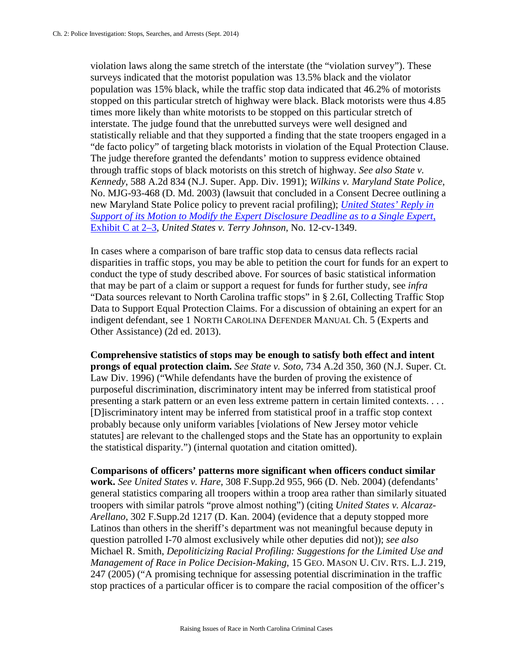violation laws along the same stretch of the interstate (the "violation survey"). These surveys indicated that the motorist population was 13.5% black and the violator population was 15% black, while the traffic stop data indicated that 46.2% of motorists stopped on this particular stretch of highway were black. Black motorists were thus 4.85 times more likely than white motorists to be stopped on this particular stretch of interstate. The judge found that the unrebutted surveys were well designed and statistically reliable and that they supported a finding that the state troopers engaged in a "de facto policy" of targeting black motorists in violation of the Equal Protection Clause. The judge therefore granted the defendants' motion to suppress evidence obtained through traffic stops of black motorists on this stretch of highway. *See also State v. Kennedy*, 588 A.2d 834 (N.J. Super. App. Div. 1991); *Wilkins v. Maryland State Police*, No. MJG-93-468 (D. Md. 2003) (lawsuit that concluded in a Consent Decree outlining a new Maryland State Police policy to prevent racial profiling); *[United States' Reply in](http://ftpcontent5.worldnow.com/wncn/pdf/exhibitC.pdf)  [Support of its Motion to Modify the Expert Disclosure Deadline as to a Single Expert](http://ftpcontent5.worldnow.com/wncn/pdf/exhibitC.pdf)*, [Exhibit C at 2–3,](http://ftpcontent5.worldnow.com/wncn/pdf/exhibitC.pdf) *United States v. Terry Johnson*, No. 12-cv-1349.

In cases where a comparison of bare traffic stop data to census data reflects racial disparities in traffic stops, you may be able to petition the court for funds for an expert to conduct the type of study described above. For sources of basic statistical information that may be part of a claim or support a request for funds for further study, see *infra*  "Data sources relevant to North Carolina traffic stops" in § 2.6I, Collecting Traffic Stop Data to Support Equal Protection Claims. For a discussion of obtaining an expert for an indigent defendant, see 1 NORTH CAROLINA DEFENDER MANUAL Ch. 5 (Experts and Other Assistance) (2d ed. 2013).

**Comprehensive statistics of stops may be enough to satisfy both effect and intent prongs of equal protection claim.** *See State v. Soto*, 734 A.2d 350, 360 (N.J. Super. Ct. Law Div. 1996) ("While defendants have the burden of proving the existence of purposeful discrimination, discriminatory intent may be inferred from statistical proof presenting a stark pattern or an even less extreme pattern in certain limited contexts. . . . [D]iscriminatory intent may be inferred from statistical proof in a traffic stop context probably because only uniform variables [violations of New Jersey motor vehicle statutes] are relevant to the challenged stops and the State has an opportunity to explain the statistical disparity.") (internal quotation and citation omitted).

**Comparisons of officers' patterns more significant when officers conduct similar work.** *See United States v. Hare*, 308 F.Supp.2d 955, 966 (D. Neb. 2004) (defendants' general statistics comparing all troopers within a troop area rather than similarly situated troopers with similar patrols "prove almost nothing") (citing *United States v. Alcaraz-Arellano*, 302 F.Supp.2d 1217 (D. Kan. 2004) (evidence that a deputy stopped more Latinos than others in the sheriff's department was not meaningful because deputy in question patrolled I-70 almost exclusively while other deputies did not)); *see also*  Michael R. Smith, *Depoliticizing Racial Profiling: Suggestions for the Limited Use and Management of Race in Police Decision-Making*, 15 GEO. MASON U. CIV. RTS. L.J. 219, 247 (2005) ("A promising technique for assessing potential discrimination in the traffic stop practices of a particular officer is to compare the racial composition of the officer's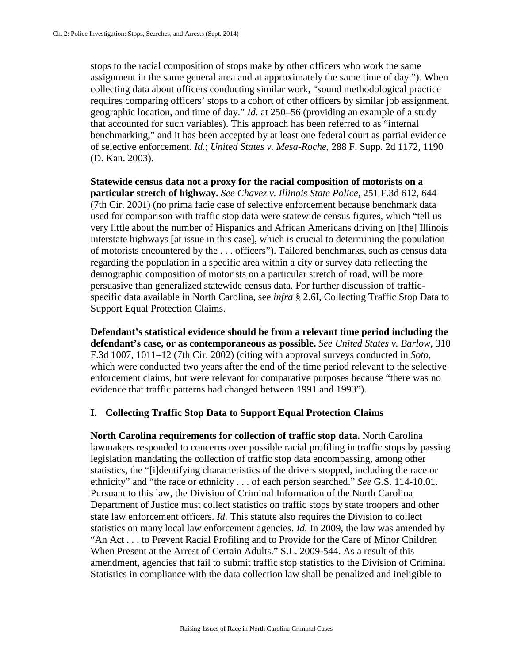stops to the racial composition of stops make by other officers who work the same assignment in the same general area and at approximately the same time of day."). When collecting data about officers conducting similar work, "sound methodological practice requires comparing officers' stops to a cohort of other officers by similar job assignment, geographic location, and time of day." *Id*. at 250–56 (providing an example of a study that accounted for such variables). This approach has been referred to as "internal benchmarking," and it has been accepted by at least one federal court as partial evidence of selective enforcement. *Id.*; *United States v. Mesa-Roche*, 288 F. Supp. 2d 1172, 1190 (D. Kan. 2003).

**Statewide census data not a proxy for the racial composition of motorists on a particular stretch of highway.** *See Chavez v. Illinois State Police*, 251 F.3d 612, 644 (7th Cir. 2001) (no prima facie case of selective enforcement because benchmark data used for comparison with traffic stop data were statewide census figures, which "tell us very little about the number of Hispanics and African Americans driving on [the] Illinois interstate highways [at issue in this case], which is crucial to determining the population of motorists encountered by the . . . officers"). Tailored benchmarks, such as census data regarding the population in a specific area within a city or survey data reflecting the demographic composition of motorists on a particular stretch of road, will be more persuasive than generalized statewide census data. For further discussion of trafficspecific data available in North Carolina, see *infra* § 2.6I, Collecting Traffic Stop Data to Support Equal Protection Claims.

**Defendant's statistical evidence should be from a relevant time period including the defendant's case, or as contemporaneous as possible.** *See United States v. Barlow*, 310 F.3d 1007, 1011–12 (7th Cir. 2002) (citing with approval surveys conducted in *Soto*, which were conducted two years after the end of the time period relevant to the selective enforcement claims, but were relevant for comparative purposes because "there was no evidence that traffic patterns had changed between 1991 and 1993").

#### **I. Collecting Traffic Stop Data to Support Equal Protection Claims**

**North Carolina requirements for collection of traffic stop data.** North Carolina lawmakers responded to concerns over possible racial profiling in traffic stops by passing legislation mandating the collection of traffic stop data encompassing, among other statistics, the "[i]dentifying characteristics of the drivers stopped, including the race or ethnicity" and "the race or ethnicity . . . of each person searched." *See* G.S. 114-10.01. Pursuant to this law, the Division of Criminal Information of the North Carolina Department of Justice must collect statistics on traffic stops by state troopers and other state law enforcement officers. *Id.* This statute also requires the Division to collect statistics on many local law enforcement agencies. *Id.* In 2009, the law was amended by "An Act . . . to Prevent Racial Profiling and to Provide for the Care of Minor Children When Present at the Arrest of Certain Adults." S.L. 2009-544. As a result of this amendment, agencies that fail to submit traffic stop statistics to the Division of Criminal Statistics in compliance with the data collection law shall be penalized and ineligible to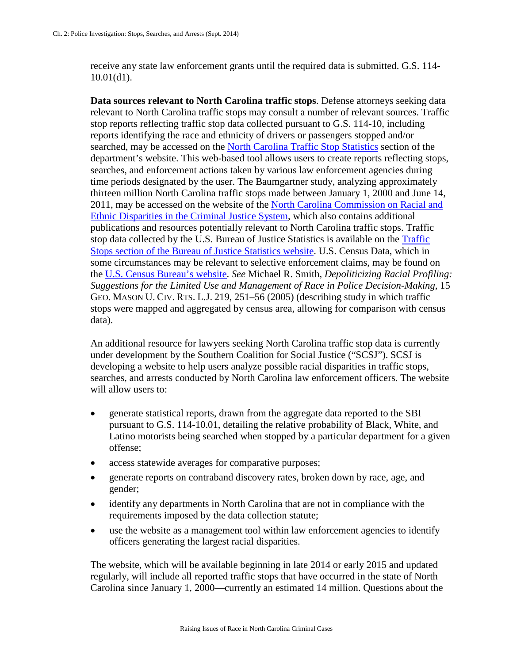receive any state law enforcement grants until the required data is submitted. G.S. 114- 10.01(d1).

**Data sources relevant to North Carolina traffic stops**. Defense attorneys seeking data relevant to North Carolina traffic stops may consult a number of relevant sources. Traffic stop reports reflecting traffic stop data collected pursuant to G.S. 114-10, including reports identifying the race and ethnicity of drivers or passengers stopped and/or searched, may be accessed on the [North Carolina Traffic Stop Statistics](http://trafficstops.ncdoj.gov/) section of the department's website. This web-based tool allows users to create reports reflecting stops, searches, and enforcement actions taken by various law enforcement agencies during time periods designated by the user. The Baumgartner study, analyzing approximately thirteen million North Carolina traffic stops made between January 1, 2000 and June 14, 2011, may be accessed on the website of the [North Carolina Commission on Racial and](https://www.ncaj.com/index.cfm?pg=NCCREDPublications)  [Ethnic Disparities in the Criminal Justice System,](https://www.ncaj.com/index.cfm?pg=NCCREDPublications) which also contains additional publications and resources potentially relevant to North Carolina traffic stops. Traffic stop data collected by the U.S. Bureau of Justice Statistics is available on the [Traffic](http://www.bjs.gov/index.cfm?ty=tp&tid=702)  Stops [section of the Bureau of Justice Statistics website.](http://www.bjs.gov/index.cfm?ty=tp&tid=702) U.S. Census Data, which in some circumstances may be relevant to selective enforcement claims, may be found on the [U.S. Census Bureau's website.](http://quickfacts.census.gov/qfd/states/37000.html) *See* Michael R. Smith, *Depoliticizing Racial Profiling: Suggestions for the Limited Use and Management of Race in Police Decision-Making*, 15 GEO. MASON U. CIV. RTS. L.J. 219, 251–56 (2005) (describing study in which traffic stops were mapped and aggregated by census area, allowing for comparison with census data).

An additional resource for lawyers seeking North Carolina traffic stop data is currently under development by the Southern Coalition for Social Justice ("SCSJ"). SCSJ is developing a website to help users analyze possible racial disparities in traffic stops, searches, and arrests conducted by North Carolina law enforcement officers. The website will allow users to:

- generate statistical reports, drawn from the aggregate data reported to the SBI pursuant to G.S. 114-10.01, detailing the relative probability of Black, White, and Latino motorists being searched when stopped by a particular department for a given offense;
- access statewide averages for comparative purposes;
- generate reports on contraband discovery rates, broken down by race, age, and gender;
- identify any departments in North Carolina that are not in compliance with the requirements imposed by the data collection statute;
- use the website as a management tool within law enforcement agencies to identify officers generating the largest racial disparities.

The website, which will be available beginning in late 2014 or early 2015 and updated regularly, will include all reported traffic stops that have occurred in the state of North Carolina since January 1, 2000—currently an estimated 14 million. Questions about the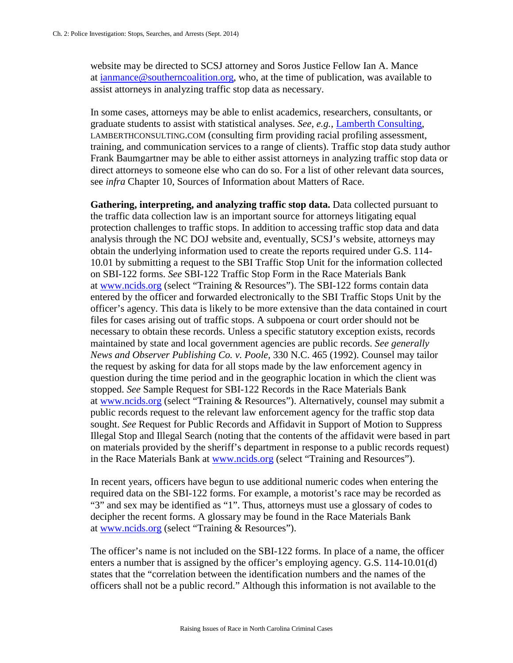website may be directed to SCSJ attorney and Soros Justice Fellow Ian A. Mance at [ianmance@southerncoalition.org,](mailto:ianmance@southerncoalition.org) who, at the time of publication, was available to assist attorneys in analyzing traffic stop data as necessary.

In some cases, attorneys may be able to enlist academics, researchers, consultants, or graduate students to assist with statistical analyses. *See, e.g.*, [Lamberth Consulting,](http://www.lamberthconsulting.com/) LAMBERTHCONSULTING.COM (consulting firm providing racial profiling assessment, training, and communication services to a range of clients). Traffic stop data study author Frank Baumgartner may be able to either assist attorneys in analyzing traffic stop data or direct attorneys to someone else who can do so. For a list of other relevant data sources, see *infra* Chapter 10, Sources of Information about Matters of Race.

**Gathering, interpreting, and analyzing traffic stop data.** Data collected pursuant to the traffic data collection law is an important source for attorneys litigating equal protection challenges to traffic stops. In addition to accessing traffic stop data and data analysis through the NC DOJ website and, eventually, SCSJ's website, attorneys may obtain the underlying information used to create the reports required under G.S. 114- 10.01 by submitting a request to the SBI Traffic Stop Unit for the information collected on SBI-122 forms. *See* SBI-122 Traffic Stop Form in the Race Materials Bank at [www.ncids.org](http://www.ncids.org/) (select "Training & Resources"). The SBI-122 forms contain data entered by the officer and forwarded electronically to the SBI Traffic Stops Unit by the officer's agency. This data is likely to be more extensive than the data contained in court files for cases arising out of traffic stops. A subpoena or court order should not be necessary to obtain these records. Unless a specific statutory exception exists, records maintained by state and local government agencies are public records. *See generally News and Observer Publishing Co. v. Poole,* 330 N.C. 465 (1992). Counsel may tailor the request by asking for data for all stops made by the law enforcement agency in question during the time period and in the geographic location in which the client was stopped. *See* Sample Request for SBI-122 Records in the Race Materials Bank at [www.ncids.org](http://www.ncids.org/) (select "Training & Resources"). Alternatively, counsel may submit a public records request to the relevant law enforcement agency for the traffic stop data sought. *See* Request for Public Records and Affidavit in Support of Motion to Suppress Illegal Stop and Illegal Search (noting that the contents of the affidavit were based in part on materials provided by the sheriff's department in response to a public records request) in the Race Materials Bank at [www.ncids.org](http://www.ncids.org/) (select "Training and Resources").

In recent years, officers have begun to use additional numeric codes when entering the required data on the SBI-122 forms. For example, a motorist's race may be recorded as "3" and sex may be identified as "1". Thus, attorneys must use a glossary of codes to decipher the recent forms. A glossary may be found in the Race Materials Bank at [www.ncids.org](http://www.ncids.org/) (select "Training & Resources").

The officer's name is not included on the SBI-122 forms. In place of a name, the officer enters a number that is assigned by the officer's employing agency. G.S. 114-10.01(d) states that the "correlation between the identification numbers and the names of the officers shall not be a public record." Although this information is not available to the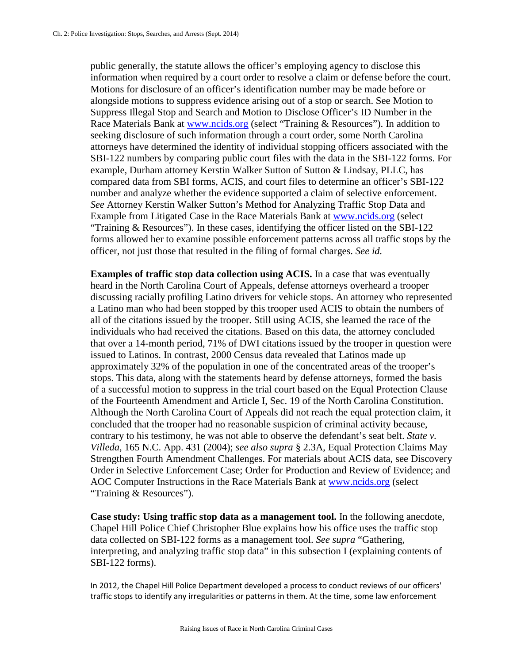public generally, the statute allows the officer's employing agency to disclose this information when required by a court order to resolve a claim or defense before the court. Motions for disclosure of an officer's identification number may be made before or alongside motions to suppress evidence arising out of a stop or search. See Motion to Suppress Illegal Stop and Search and Motion to Disclose Officer's ID Number in the Race Materials Bank at [www.ncids.org](http://www.ncids.org/) (select "Training & Resources"). In addition to seeking disclosure of such information through a court order, some North Carolina attorneys have determined the identity of individual stopping officers associated with the SBI-122 numbers by comparing public court files with the data in the SBI-122 forms. For example, Durham attorney Kerstin Walker Sutton of Sutton & Lindsay, PLLC, has compared data from SBI forms, ACIS, and court files to determine an officer's SBI-122 number and analyze whether the evidence supported a claim of selective enforcement. *See* Attorney Kerstin Walker Sutton's Method for Analyzing Traffic Stop Data and Example from Litigated Case in the Race Materials Bank at [www.ncids.org](http://www.ncids.org/) (select "Training & Resources"). In these cases, identifying the officer listed on the SBI-122 forms allowed her to examine possible enforcement patterns across all traffic stops by the officer, not just those that resulted in the filing of formal charges. *See id.*

**Examples of traffic stop data collection using ACIS.** In a case that was eventually heard in the North Carolina Court of Appeals, defense attorneys overheard a trooper discussing racially profiling Latino drivers for vehicle stops. An attorney who represented a Latino man who had been stopped by this trooper used ACIS to obtain the numbers of all of the citations issued by the trooper. Still using ACIS, she learned the race of the individuals who had received the citations. Based on this data, the attorney concluded that over a 14-month period, 71% of DWI citations issued by the trooper in question were issued to Latinos. In contrast, 2000 Census data revealed that Latinos made up approximately 32% of the population in one of the concentrated areas of the trooper's stops. This data, along with the statements heard by defense attorneys, formed the basis of a successful motion to suppress in the trial court based on the Equal Protection Clause of the Fourteenth Amendment and Article I, Sec. 19 of the North Carolina Constitution. Although the North Carolina Court of Appeals did not reach the equal protection claim, it concluded that the trooper had no reasonable suspicion of criminal activity because, contrary to his testimony, he was not able to observe the defendant's seat belt. *State v. Villeda*, 165 N.C. App. 431 (2004); *see also supra* § 2.3A, Equal Protection Claims May Strengthen Fourth Amendment Challenges. For materials about ACIS data, see Discovery Order in Selective Enforcement Case; Order for Production and Review of Evidence; and AOC Computer Instructions in the Race Materials Bank at [www.ncids.org](http://www.ncids.org/) (select "Training & Resources").

**Case study: Using traffic stop data as a management tool.** In the following anecdote, Chapel Hill Police Chief Christopher Blue explains how his office uses the traffic stop data collected on SBI-122 forms as a management tool. *See supra* "Gathering, interpreting, and analyzing traffic stop data" in this subsection I (explaining contents of SBI-122 forms).

In 2012, the Chapel Hill Police Department developed a process to conduct reviews of our officers' traffic stops to identify any irregularities or patterns in them. At the time, some law enforcement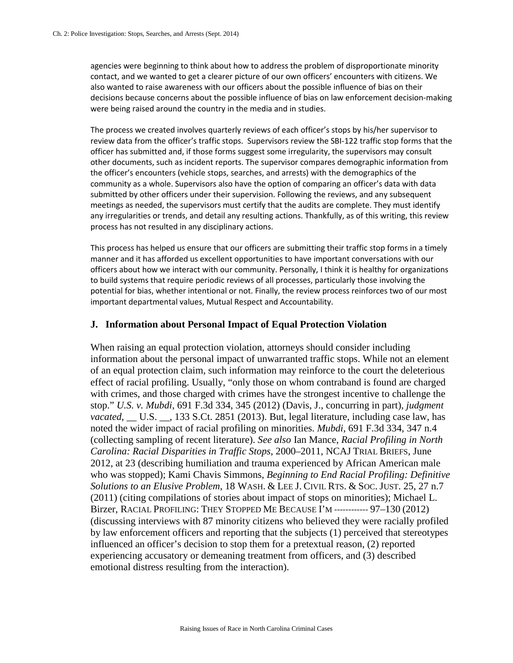agencies were beginning to think about how to address the problem of disproportionate minority contact, and we wanted to get a clearer picture of our own officers' encounters with citizens. We also wanted to raise awareness with our officers about the possible influence of bias on their decisions because concerns about the possible influence of bias on law enforcement decision-making were being raised around the country in the media and in studies.

The process we created involves quarterly reviews of each officer's stops by his/her supervisor to review data from the officer's traffic stops. Supervisors review the SBI-122 traffic stop forms that the officer has submitted and, if those forms suggest some irregularity, the supervisors may consult other documents, such as incident reports. The supervisor compares demographic information from the officer's encounters (vehicle stops, searches, and arrests) with the demographics of the community as a whole. Supervisors also have the option of comparing an officer's data with data submitted by other officers under their supervision. Following the reviews, and any subsequent meetings as needed, the supervisors must certify that the audits are complete. They must identify any irregularities or trends, and detail any resulting actions. Thankfully, as of this writing, this review process has not resulted in any disciplinary actions.

This process has helped us ensure that our officers are submitting their traffic stop forms in a timely manner and it has afforded us excellent opportunities to have important conversations with our officers about how we interact with our community. Personally, I think it is healthy for organizations to build systems that require periodic reviews of all processes, particularly those involving the potential for bias, whether intentional or not. Finally, the review process reinforces two of our most important departmental values, Mutual Respect and Accountability.

## **J. Information about Personal Impact of Equal Protection Violation**

When raising an equal protection violation, attorneys should consider including information about the personal impact of unwarranted traffic stops. While not an element of an equal protection claim, such information may reinforce to the court the deleterious effect of racial profiling. Usually, "only those on whom contraband is found are charged with crimes, and those charged with crimes have the strongest incentive to challenge the stop." *U.S. v. Mubdi*, 691 F.3d 334, 345 (2012) (Davis, J., concurring in part), *judgment vacated*, U.S. , 133 S.Ct. 2851 (2013). But, legal literature, including case law, has noted the wider impact of racial profiling on minorities. *Mubdi*, 691 F.3d 334, 347 n.4 (collecting sampling of recent literature). *See also* Ian Mance, *Racial Profiling in North Carolina: Racial Disparities in Traffic Stops*, 2000–2011, NCAJ TRIAL BRIEFS, June 2012, at 23 (describing humiliation and trauma experienced by African American male who was stopped); Kami Chavis Simmons, *Beginning to End Racial Profiling: Definitive Solutions to an Elusive Problem*, 18 WASH. & LEE J. CIVIL RTS. & SOC. JUST. 25, 27 n.7 (2011) (citing compilations of stories about impact of stops on minorities); Michael L. Birzer, RACIAL PROFILING: THEY STOPPED ME BECAUSE I'M ------------ 97–130 (2012) (discussing interviews with 87 minority citizens who believed they were racially profiled by law enforcement officers and reporting that the subjects (1) perceived that stereotypes influenced an officer's decision to stop them for a pretextual reason, (2) reported experiencing accusatory or demeaning treatment from officers, and (3) described emotional distress resulting from the interaction).